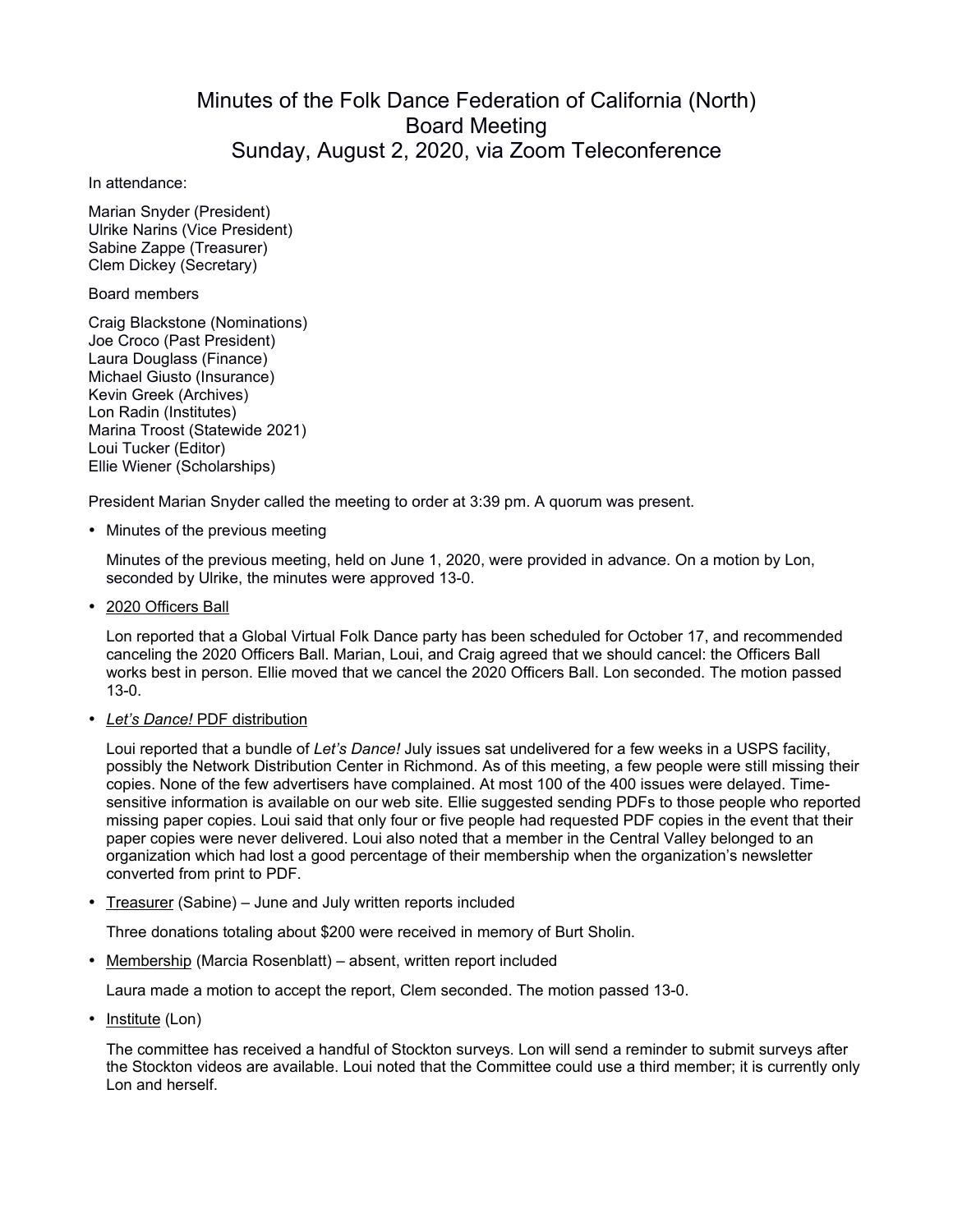## Minutes of the Folk Dance Federation of California (North) Board Meeting Sunday, August 2, 2020, via Zoom Teleconference

In attendance:

Marian Snyder (President) Ulrike Narins (Vice President) Sabine Zappe (Treasurer) Clem Dickey (Secretary)

Board members

Craig Blackstone (Nominations) Joe Croco (Past President) Laura Douglass (Finance) Michael Giusto (Insurance) Kevin Greek (Archives) Lon Radin (Institutes) Marina Troost (Statewide 2021) Loui Tucker (Editor) Ellie Wiener (Scholarships)

President Marian Snyder called the meeting to order at 3:39 pm. A quorum was present.

• Minutes of the previous meeting

Minutes of the previous meeting, held on June 1, 2020, were provided in advance. On a motion by Lon, seconded by Ulrike, the minutes were approved 13-0.

• 2020 Officers Ball

Lon reported that a Global Virtual Folk Dance party has been scheduled for October 17, and recommended canceling the 2020 Officers Ball. Marian, Loui, and Craig agreed that we should cancel: the Officers Ball works best in person. Ellie moved that we cancel the 2020 Officers Ball. Lon seconded. The motion passed 13-0.

• *Let's Dance!* PDF distribution

Loui reported that a bundle of *Let's Dance!* July issues sat undelivered for a few weeks in a USPS facility, possibly the Network Distribution Center in Richmond. As of this meeting, a few people were still missing their copies. None of the few advertisers have complained. At most 100 of the 400 issues were delayed. Timesensitive information is available on our web site. Ellie suggested sending PDFs to those people who reported missing paper copies. Loui said that only four or five people had requested PDF copies in the event that their paper copies were never delivered. Loui also noted that a member in the Central Valley belonged to an organization which had lost a good percentage of their membership when the organization's newsletter converted from print to PDF.

• Treasurer (Sabine) – June and July written reports included

Three donations totaling about \$200 were received in memory of Burt Sholin.

• Membership (Marcia Rosenblatt) – absent, written report included

Laura made a motion to accept the report, Clem seconded. The motion passed 13-0.

• Institute (Lon)

The committee has received a handful of Stockton surveys. Lon will send a reminder to submit surveys after the Stockton videos are available. Loui noted that the Committee could use a third member; it is currently only Lon and herself.